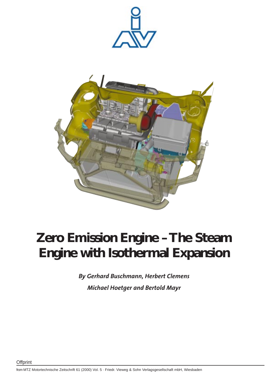



# **Zero Emission Engine – The Steam Engine with Isothermal Expansion**

*By Gerhard Buschmann, Herbert Clemens Michael Hoetger and Bertold Mayr*

from MTZ Motortechnische Zeitschrift 61 (2000) Vol. 5 · Friedr. Vieweg & Sohn Verlagsgesellschaft mbH, Wiesbaden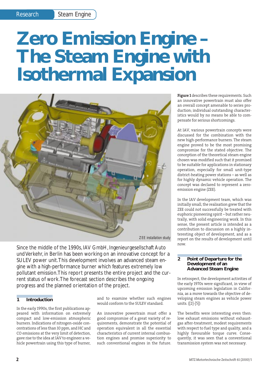# **Zero Emission Engine – The Steam Engine with Isothermal Expansion**



Since the middle of the 1990s, IAV GmbH, Ingenieurgesellschaft Auto und Verkehr, in Berlin has been working on an innovative concept for a SULEV power unit.This development involves an advanced steam engine with a high-performance burner which features extremely low pollutant emission.This report presents the entire project and the current status of work.The forecast section describes the ongoing progress and the planned orientation of the project.

#### **1 Introduction**

In the early 1990s, the first publications appeared with information on extremely compact and low-emission atmospheric burners. Indications of nitrogen-oxide concentrations of less than 10 ppm, and HC and CO emissions at the very limit of detection, gave rise to the idea at IAV to engineer a vehicle powertrain using this type of burner,

and to examine whether such engines would conform to the SULEV standard.

An innovative powertrain must offer a good compromise of a great variety of requirements, demonstrate the potential of operation equivalent in all the essential characteristics of current internal combustion engines and promise superiority to such conventional engines in the future.

**Figure 1** describes these requirements. Such an innovative powertrain must also offer an overall concept amenable to series production; individual outstanding characteristics would by no means be able to compensate for serious shortcomings.

At IAV, various powertrain concepts were discussed for the combination with the new high-performance burners. The steam engine proved to be the most promising compromise for the stated objective. The conception of the theoretical steam engine chosen was modified such that it promised to be suitable for applications in stationary operation, especially for small unit-type district-heating power stations – as well as for highly dynamic vehicle operation. The concept was declared to represent a zeroemission engine (ZEE).

In the IAV development team, which was initially small, the realisation grew that the ZEE could not successfully be treated with euphoric pioneering spirit – but rather neutrally, with solid engineering work. In this sense, the present article is intended as a contribution to discussion on a highly interesting object of development, and as a report on the results of development until now.

#### **2 Point of Departure for the Development of an Advanced Steam Engine**

In retrospect, the development activities of the early 1970s were significant, in view of upcoming emission legislation in California, as a move towards the objective of developing steam engines as vehicle power units. ([2]-[5])

The benefits were interesting even then: low exhaust emissions without exhaustgas after-treatment, modest requirements with respect to fuel type and quality, and a highly favourable torque curve. Consequently, it was seen that a conventional transmission system was not necessary.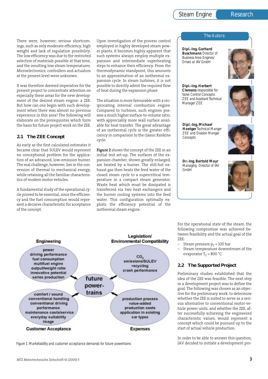### Steam Engine **Research**

There were, however, serious shortcomings, such as only moderate efficiency, high weight and lack of regulation possibility. The low efficiency was due to the restricted selection of materials possible at that time, and the resulting low steam temperatures. Microelectronics, controllers and actuators at the present level were unknown.

It was therefore deemed imperative for the present project to concentrate attention on especially these areas for the new development of the desired steam engine: a ZEE. But how can one begin with such development when there was almost no previous experience in this area? The following will elaborate on the prerequisites which form the basis for future project work on the ZEE.

#### **2.1 The ZEE Concept**

As early as the first calculated estimates it became clear that SULEV would represent no conceptional problem for the application of an advanced, low-emission burner. The real challenge, however, lies in the conversion of thermal to mechanical energy, while retaining all the familiar characteristics of modern motor vehicles.

A fundamental study of the operational cycle proved to be essential, since the efficiency and the fuel consumption would represent a decisive characteristic for acceptance of the concept.

Upon investigation of the process control employed in highly developed steam power plants, it becomes highly apparent that such systems always employ multiple expansion and intermediate superheating steps to enhance their efficiency. From the thermodynamic standpoint, this amounts to an approximation of an isothermal expansion cycle. In steam turbines, it is not possible to directly admit the required flow of heat during the expansion phase.

The situation is more favourable with a reciprocating internal combustion engine. Compared to turbines, such engines possess a much higher surface-to-volume ratio, with appreciably more wall surface available for heat transfer. The great advantage of an isothermal cycle is the greater efficiency in comparison to the classic Rankine cycle.

**Figure 2** shows the concept of the ZEE in an initial test set-up. The surfaces of the expansion chamber, shown greatly enlarged, are heated by a burner. The still-hot exhaust gas then heats the feed water of the closed steam cycle to a supercritical temperature in a compact steam generator. Waste heat which must be dissipated is transferred via two heat exchangers and the burner cooling systems into the feed water. This configuration optimally exploits the efficiency potential of the isothermal steam engine.

*Dipl.-Ing. Gerhard Buschmann Director of Business Area Engines/ Drives at IAV GmbH*

The Autors:



*Dipl.-Ing. Herbert Clemens responsible for Valve Control Concepts ZEE and Assistant Technical Manager ZEE*

*Dipl.-Ing. Michael Hoetger Technical Manger ZEE and Division Manger Concepts*



*Dr.-Ing. Bertold Mayr Managing Director of IAV GmbH*





*Figure 1: Marketability and customer acceptance demands for future powertrains*

For the operational state of the steam, the following compromise was achieved between feasibility and the actual goal of the ZEE:

- Steam pressure  $p_s = 100$  bar
- Steam temperature downstream of the evaporator  $T_s = 800$  °C.

#### **2.2 The Supported Project**

Preliminary studies established that the idea of the ZEE was feasible. The next step in a development project was to define the goal. The following was chosen as an objective for the preliminary work: to determine whether the ZEE is suited to serve as a serious alternative to conventional motor-vehicle power units, and whether the ZEE, after successfully achieving the engineered characteristic values, would represent a concept which could be pursued up to the start of actual vehicle production.

In order to be able to answer this question, IAV decided to initiate a development pro-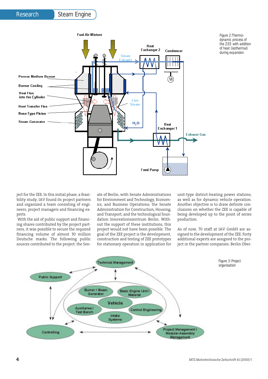

*Figure 2:Thermodynamic process of the ZEE with addition of heat (isothermal) during expansion*

ject for the ZEE. In this initial phase, a feasibility study, IAV found its project partners and organized a team consisting of engineers, project managers and financing experts.

With the aid of public support and financing shares contributed by the project partners, it was possible to secure the required financing volume of almost 30 million Deutsche marks. The following public sources contributed to the project: the Sen-

ate of Berlin, with Senate Administrations for Environment and Technology, Economics, and Business Operations; the Senate Administration for Construction, Housing, and Transport; and the technological foundation Innovationszentrum Berlin. Without the support of these institutions, this project would not have been possible. The goal of the ZEE project is the development, construction and testing of ZEE prototypes for stationary operation in application for unit-type district-heating power stations, as well as for dynamic vehicle operation. Another objective is to draw definite conclusions on whether the ZEE is capable of being developed up to the point of series production.

As of now, 70 staff at IAV GmbH are assigned to the development of the ZEE. Forty additional experts are assigned to the project in the partner companies: Berlin Ober-

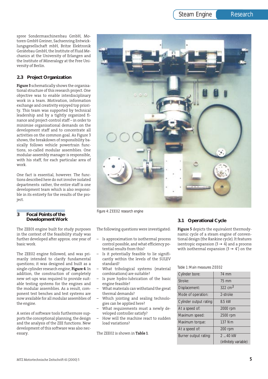spree Sondermaschinenbau GmbH, Motoren GmbH Greiner, Sachsenring Entwicklungsgesellschaft mbH, Britze Elektronik Gerätebau GmbH, the Institute of Fluid Mechanics at the University of Erlangen and the Institute of Mineralogy at the Free University of Berlin.

#### **2.3 Project Organization**

**Figure 3** schematically shows the organisational structure of this research project. One objective was to enable interdisciplinary work in a team. Motivation, information exchange and creativity enjoyed top priority. This team was supported by technical leadership and by a tightly organized finance and project-control staff – in order to minimise organisational demands on the development staff and to concentrate all activities on the common goal. As Figure 3 shows, the breakdown of responsibility basically follows vehicle powertrain functions, so-called modular assemblies. One modular-assembly manager is responsible, with his staff, for each particular area of work.

One fact is essential, however. The functions described here do not involve isolated departments: rather, the entire staff is one development team which is also responsible in its entirety for the results of the project.

#### **3 Focal Points of the Development Work**

The ZEE01 engine built for study purposes in the context of the feasibility study was further developed after approx. one year of basic work.

The ZEE02 engine followed, and was primarily intended to clarify fundamental questions; it was designed and built as a single-cylinder research engine, **Figure 4**. In addition, the construction of completely new set-ups was required to provide suitable testing systems for the engines and the modular assemblies. As a result, component test benches and test systems are now available for all modular assemblies of the engine.

A series of software tools furthermore supports the conceptional planning, the design and the analysis of the ZEE functions. New development of this software was also necessary.



*Figure 4: ZEE02 research engine*

The following questions were investigated:

- Is approximation to isothermal process control possible, and what efficiency potential results from this?
- Is it potentially feasible to lie significantly within the levels of the SULEV standard?
- What tribological systems (material combinations) are suitable?
- Is pure hydro-lubrication of the basic engine feasible?
- What materials can withstand the great thermal demands?
- Which jointing and sealing technologies can be applied here?
- What requirements must a newly developed controller satisfy?
- How will the machine react to sudden load variations?

The ZEE02 is shown in **Table 1**.

#### **3.1 Operational Cycle**

**Figure 5** depicts the equivalent thermodynamic cycle of a steam engine of conventional design (the Rankine cycle). It features isentropic expansion  $(3 \rightarrow 4)$  and a process with isothermal expansion (3  $\rightarrow$  4') on the

*Table 1: Main measures ZEE02*

| Cylinder bore:          | 74 mm                 |
|-------------------------|-----------------------|
| Stroke:                 | 75 mm                 |
| Displacement:           | 322 cm <sup>3</sup>   |
| Mode of operation:      | 2-stroke              |
| Cylinder output rating: | 8.5 kW                |
| At a speed of:          | 2000 rpm              |
| Maximum speed:          | 2500 rpm              |
| Maximum torque:         | 137 Nm                |
| At a speed of:          | $200$ rpm             |
| Burner output rating:   | $2 - 40$ kW           |
|                         | (infinitely variable) |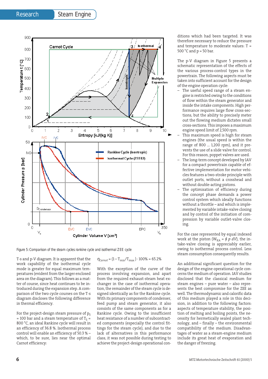

*Figure 5: Comparison of the steam cycles: rankine cycle and isothermal ZEE cycle*

T-s and p-V diagram. It is apparent that the work capability of the isothermal cycle mode is greater for equal maximum temperatures (evident from the larger enclosed area on the diagram). This follows as a matter of course, since heat continues to be introduced during the expansion step. A comparison of the two cycle courses on the T-s diagram discloses the following difference in thermal efficiency.

For the project-design steam pressure of  $p_S$  $= 100$  bar and a steam temperature of  $T_s =$ 800 °C, an ideal Rankine cycle will result in an efficiency of 36.8 %. Isothermal process control will enable an efficiency of 50.3 % – which, to be sure, lies near the optimal Carnot efficiency:

 $\eta_{Carnot} = (1 - T_{min}/T_{max}) \cdot 100\% = 65.2\%$ 

With the exception of the curve of the process involving expansion, and apart from the required exhaust-steam heat exchanger in the case of isothermal operation, the remainder of the steam cycle is designed identically as for the Rankine cycle. With its primary components of condenser, feed pump and steam generator, it also consists of the same components as for a Rankine cycle. Owing to the insufficient heat resistance of a number of subcontracted components (especially the control fittings for the steam cycle), and due to the lack of alternatives in this performance class, it was not possible during testing to achieve the project-design operational conditions which had been targeted. It was therefore necessary to reduce the pressure and temperature to moderate values: T = 500 $^{\circ}$ C and p = 50 bar.

The p-V diagram in Figure 5 presents a schematic representation of the effects of the various process-control types in the powertrain. The following aspects must be taken into sufficient account for the design of the engine operation cycle:

- The useful speed range of a steam engine is restricted owing to the conditions of flow within the steam generator and inside the intake components. High performance requires large flow cross-sections, but the ability to precisely meter out the flowing medium dictates small cross-sections. This imposes a maximum engine speed limit of 2,500 rpm.
- This maximum speed is high for steam engines (the usual speed is within the range of 800 ... 1,200 rpm), and it prevents the use of a slide valve for control. For this reason, poppet valves are used.
- The long-term concept developed by IAV for a compact powertrain capable of effective implementation for motor vehicles features a two-stroke principle with outlet ports, without a crosshead and without double-acting pistons.
- The optimisation of efficiency during the concept phase demands a power control system which ideally functions without a throttle – and which is implemented by variable intake-valve closing and by control of the initiation of compression by variable outlet-valve closing.

For the case represented by equal indexed work at the piston ( $W_{KA} = \oint p \ dV$ ), the intake-valve closing is appreciably earlier, owing to isothermal process control. Less steam consumption consequently results.

An additional significant question for the design of the engine operational cycle concerns the medium of operation. IAV studies disclosed that the classical medium for steam engines – pure water – also represents the best compromise for the ZEE as well. The thermodynamic and calorific data of this medium played a role in this decision, in addition to the following factors: aspects of temperature stability, the position of melting and boiling points, the necessity for hermetically sealed plant technology, and – finally – the environmental compatibility of the medium. Disadvantages of water as a steam-engine medium include its great heat of evaporation and the danger of freezing.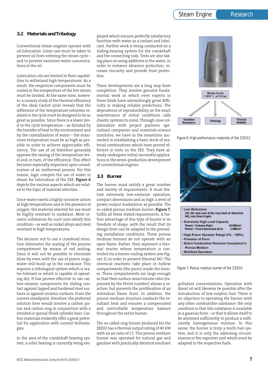#### **3.2 Materials and Tribology**

Conventional steam engines operate with oil lubrication. Great care must be taken to prevent oil from entering the steam cycle – and to prevent excessive water concentrations in the oil.

Lubrication oils are limited in their capabilities to withstand high temperatures. As a result, the respective components must be cooled or the temperature of the live steam must be limited. At the same time, however, a cursory study of the thermal efficiency of the ideal Carnot cycle reveals that the difference of the temperature extremes realised in the cycle must be designed to be as great as possible. Since there is a lower limit to the cycle temperature – as dictated by the transfer of heat to the environment and by the crystallisation of water – the maximum temperature must be as high as possible in order to achieve appreciable efficiency. The use of oil therefore generally opposes the raising of the temperature level and, in turn, of the efficiency. This effect becomes especially important upon consideration of an isothermal process. For this reason, logic compels the use of water or steam for lubrication of the ZEE. **Figure 6** depicts the various aspects which are related to the topic of material selection:

Since water exerts a highly corrosive action at high temperatures and in the presence of oxygen, the material selected for use must be highly resistant to oxidation. Most ceramic substances for such uses satisfy this condition – as well as nickel alloys and steel resistant to high temperatures.

The decision not to use a crosshead structure eliminates the sealing of the process compartment by means of rod sealing. Since it will not be possible to eliminate blow-by even with the use of piston rings, water will build up in the crankcase. This requires a tribological system which is water-tolerant or which is capable of operating dry. It has proven effective to use carbon-ceramic components for sliding contact against lapped and hardened steel surfaces or against ceramic surfaces. From the current standpoint, therefore, the preferred solution here would involve a carbon piston and carbon ring in conjunction with a nitrided or special-finish cylinder liner. Carbon materials evidently offer a great potential for application with current technologies.

In the area of the crankshaft bearing system, a roller bearing is currently being employed which ensures perfectly satisfactory function with water as a coolant and lubricant. Further work is being conducted on a sliding-bearing system for the crankshaft and the connecting rods. Tests are also taking place on using additives in the water, in order to enhance abrasion protection, increase viscosity and provide frost protection.

These developments are a long way from completion. They involve genuine fundamental work in which even experts in these fields have astonishingly great difficulty in making reliable predictions. The dependence of reproducibility on the exact maintenance of initial conditions calls chaotic systems to mind. Through close collaboration with project partners, specialised companies and materials-science institutes, we have in the meantime succeeded in establishing a basic stock of material combinations which have proved effective in tests on the ZEE. They have already undergone initial successful applications in the series-production development of conventional engines.

#### **3.3 Burner**

The burner must satisfy a great number and variety of requirements. It must feature extremely low-emission operation, compact dimensions and as high a level of power-output modulation as possible. The so-called porous medium burner, **Figure 7**, fulfils all these stated requirements. A further advantage of this type of burner is its freedom of shape, with the result that its design form can be adapted to the prevailing installation conditions. These porous medium burners do not operate with an open flame. Rather, they represent a thermal reactor whose temperature is controlled via a burner cooling system (see Figure 2), in order to prevent thermal NO. The chemical reactions take place in hollow compartments (the pores) inside the burner. These compartments are large enough so that their surface-area/volume ratio (expressed by the Péclet number) allows a reaction, but prevents the proliferation of an individual flame front. In addition, the porous medium structure conducts the resultant heat and ensures a compensated and controllable temperature balance throughout the entire burner.

The so-called ring burner produced for the ZEE02 has a thermal output rating of 40 kW with an air ratio of 1.5. This porous medium burner was operated for natural gas and gasoline with practically identical resultant



*Figure 6: High-performance materials of the ZEE02*



| · Low Emissions<br>CO, HC and soot at the very limit of detection<br>NO_liess than 6 ppm |  |
|------------------------------------------------------------------------------------------|--|
| · Extremely High Load Capacity                                                           |  |
| Power / Volume Ratio<br>30 MW/m <sup>1</sup>                                             |  |
| Power / Cross-Sectional Area<br>3 MW/m <sup>1</sup>                                      |  |
| - High Power Dynamic Range (5% - 100%)                                                   |  |
| · Freedom of Form                                                                        |  |
| · Entire Combustion Reaction Completed in                                                |  |
| Porous Medium                                                                            |  |
| · Multifuel Operation                                                                    |  |

*Figure 7: Porous medium burner of the ZEE02*

pollutant concentrations. Operation with diesel oil will likewise be possible after the introduction of low-sulphur fuel. There is no objection to operating the burner with any other combustible substance: the only condition is that this substance is available in a gaseous form – or that it allows itself to be atomised sufficiently to produce a sufficiently homogeneous mixture. In this sense, the burner is truly a multi-fuel system, and it is only the admixing circumstances or the vaporiser unit which must be adapted to the respective fuels.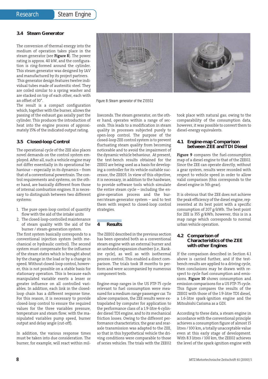#### **3.4 Steam Generator**

The conversion of thermal energy into the medium of operation takes place in the steam generator (see **Figure 8**). The power rating is approx. 40 kW, and the configuration is ring-formed around the cylinder. This steam generator was designed by IAV and manufactured by its project partners. This generator design features twelve individual tubes made of austenitic steel. They are coiled similar to a spring washer and are stacked on top of each other, each with an offset of 30°.

The result is a compact configuration which, together with the burner, allows the passing of the exhaust gas axially past the cylinder. This produces the introduction of heat into the engine process of approximately 15% of the indicated output rating.

#### **3.5 Closed-loop Control**

The operational cycle of the ZEE also places novel demands on the control system employed. After all, such a vehicle engine may not differ essentially in its operational behaviour – especially in its dynamics – from that of a conventional powertrain. The control requirements and systems, on the other hand, are basically different from those of internal combustion engines. It is necessary to distinguish between two different systems:

- 1. The pure open-loop control of quantity flow with the aid of the intake units
- 2. The closed-loop-controlled maintenance of steam quality with the aid of the burner / steam-generation system.

The first system basically corresponds to a conventional injection system (with mechanical or hydraulic control). The second system must compensate for the influence of the steam states which is brought about by the change in the load or by a change in speed. Without closed-loop control, however, this is not possible on a stable basis for stationary operation. This is because each manipulated variable exerts a lesser or greater influence on all controlled variables. In addition, each link in the closedloop chain has a different response time. For this reason, it is necessary to provide closed-loop control to ensure the required values for the three variables pressure, temperature and steam flow, with the manipulated variables pump speed, burner output and delay angle (cut-off).

In addition, the various response times must be taken into due consideration. The burner, for example, will react within mil-



*Figure 8: Steam generator of the ZEE02*

liseconds. The steam generator, on the other hand, operates within a range of seconds. This leads to a modification in steam quality in processes subjected purely to open-loop control. The purpose of the closed-loop ZEE control system is to prevent fluctuating steam quality from becoming noticeable and to avoid the impairment of the dynamic vehicle behaviour. At present, the test-bench results obtained for the ZEE02 are being used as a basis for developing a controller for its vehicle-suitable successor, the ZEE03. In view of this objective, it is necessary, in addition to the hardware, to provide software tools which simulate the entire steam cycle – including the engine-operation process and the burner/steam-generator system – and to test them with respect to closed-loop control strategies.

#### **4 Results**

The ZEE02 described in the previous section has been operated both as a conventional steam engine with an external burner and an unheated expansion chamber (i.e., Rankine cycle), as well as with isothermal process control. This enabled a direct comparison. The trials took 18 months to perform and were accompanied by numerous component tests.

Engine-map ranges in the US FTP-75 cycle relevant to fuel consumption were measured for a medium-range passenger car. To allow comparison, the ZEE results were extrapolated by computer for application to the performance class of a 1.9-litre 4-cylinder diesel TDI engine, and to its mechanical friction losses. Owing to the different performance characteristics, the gear and rearaxle transmission was adapted to the ZEE, so that in this hypothetical vehicle the driving conditions were comparable to those of series vehicles. The trials with the ZEE02 took place with natural gas; owing to the comparability of the consumption data, however, it was possible to convert them to diesel-energy equivalents.

#### **4.1 Engine-map Comparison between ZEE and TDI Diesel**

**Figure 9** compares the fuel-consumption map of a diesel engine to that of the ZEE02. Since the ZEE can operate directly, without a gear system, results were recorded with respect to vehicle speed in order to allow valid comparison (this corresponds to the diesel engine in 5th gear).

It is obvious that the ZEE does not achieve the peak efficiency of the diesel engine, represented at its best point with a specific consumption of 207 g/kWh. The best point for ZEE is 355 g/kWh; however, this is in a map range which corresponds to normal urban vehicle operation.

#### **4.2 Comparison of Characteristics of the ZEE with other Engines**

If the comparison described in Section 4.1 above is carried further, and if the testbench results are applied to a driving cycle, then conclusions may be drawn with respect to cycle fuel consumption and emissions. **Figure 10** shows consumption and emission comparisons for a US FTP-75 cycle. This figure compares the results of the ZEE02 with those of the 1.9-litre TDI diesel, a 1.6-litre spark-ignition engine and the Mitsubishi Carisma as a GDI.

According to these data, a steam engine in accordance with the conventional principle achieves a consumption figure of almost 15 litres / 100 km, a totally unacceptable value even at this early stage of development. With 8.3 litres / 100 km, the ZEE02 achieves the level of the spark-ignition engine with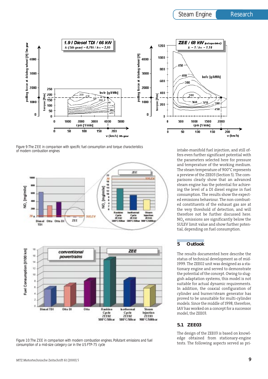

*Figure 9:The ZEE in comparison with specific fuel consumption and torque characteristics of modern combustion engines* 





*Figure 10:The ZEE in comparison with modern combustion engines. Pollutant emissions and fuel consumption of a mid-size category car in the US FTP-75 cycle*

intake-manifold fuel injection, and still offers even further significant potential with the parameters selected here for pressure and temperature of the working medium. The steam temperature of 900°C represents a preview of the ZEE03 (Section 5). The comparisons clearly show that an advanced steam engine has the potential for achieving the level of a DI diesel engine in fuel consumption. The results show the expected emissions behaviour. The non-combusted constituents of the exhaust gas are at the very threshold of detection, and will therefore not be further discussed here.  $NO<sub>x</sub>$  emissions are significantly below the SULEV limit value and show further potential, depending on fuel consumption.

# **5 Outlook**

The results documented here describe the status of technical development as of mid-1999. The ZEE02 unit was designed as a stationary engine and served to demonstrate the potential of the concept. Owing to sluggish adaptation systems, this model is not suitable for actual dynamic requirements. In addition, the coaxial configuration of cylinder and burner/steam generator has proved to be unsuitable for multi-cylinder models. Since the middle of 1998, therefore, IAV has worked on a concept for a successor model, the ZEE03.

#### **5.1 ZEE03**

The design of the ZEE03 is based on knowledge obtained from stationary-engine tests. The following aspects served as pri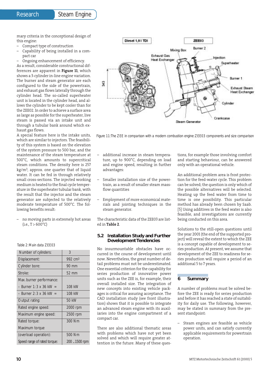mary criteria in the conceptional design of this engine:

- Compact type of construction
- Capability of being installed in a compact car
- Ongoing enhancement of efficiency.

As a result, considerable constructional differences are apparent in **Figure 11**, which shows a 3-cylinder in-line engine variation. The burner and steam generator are each configured to the side of the powertrain, and exhaust gas flows laterally through the cylinder head. The so-called superheater unit is located in the cylinder head, and allows the cylinder to be kept cooler than for the ZEE02. In order to achieve a surface area as large as possible for the superheater, live steam is passed via an intake unit and through a tubular bank around which exhaust gas flows.

A special feature here is the intake units, which are similar to injectors. The feasibility of this system is based on the elevation of the system pressure to 500 bar, and the maintenance of the steam temperature at 500°C, which amounts to supercritical steam conditions. The density here is 257 kg/m3, approx. one quarter that of liquid water. It can be fed in through relatively small cross-sections. The injected working medium is heated to the final cycle temperature in the superheater tubular bank, with the result that the injector and the steam generator are subjected to the relatively moderate temperature of 500°C. The following benefits result:

– no moving parts in extremely hot areas  $(i.e., T > 600^{\circ}C)$ 

| Number of cylinders:         | 3                     |
|------------------------------|-----------------------|
| Displacement:                | $992$ cm <sup>3</sup> |
| Cylinder bore:               | 90 mm                 |
| Stroke:                      | 52 mm                 |
| Max. burner performance:     |                       |
| $-$ Burner 1: 3 x 36 kW $=$  | 108 kW                |
| $-$ Burner 2: 3 x 36 kW $=$  | 108 kW                |
| Output rating:               | 50 kW                 |
| Rated engine speed:          | 2000 rpm              |
| Maximum engine speed:        | 2500 rpm              |
| Rated torque:                | 300 Nm                |
| Maximum torque               |                       |
| (overload operation):        | 500 Nm                |
| Speed range of rated torque: | 200  1500 rpm         |

*Table 2: Main data ZEE03*



*Figure 11:The ZEE in comparison with a modern combustion engine: ZEE03 components and size comparison*

- additional increase in steam temperature, up to 900°C, depending on load and engine speed, resulting in further advantages:
- Smaller installation size of the powertrain, as a result of smaller steam massflow quantities
- Employment of more economical materials and jointing techniques in the steam generator.

The characteristic data of the ZEE03 are listed in **Table 2**.

#### **5.2 Installation Study and Further Development Tendencies**

No insurmountable obstacles have occurred in the course of development until now. Nevertheless, the great number of detail problems must not be underestimated. One essential criterion for the capability for series production of innovative power units such as the ZEE is, for example, their overall installed size. The integration of new concepts into existing vehicle packages is critical for assuring acceptance. The CAD installation study (see front illustration) shows that it is possible to integrate an advanced steam engine with its auxiliaries into the engine compartment of a compact car.

There are also additional thematic areas with problems which have not yet been solved and which will require greater attention in the future. Many of these questions, for example those involving comfort and starting behaviour, can be answered only with an operational vehicle.

An additional problem area is frost protection for the feed-water cycle. This problem can be solved; the question is only which of the possible alternatives will be selected. Heating up the feed water from time to time is one possibility. This particular method has already been chosen by Saab. [5] Using additives in the feed water is also feasible, and investigations are currently being conducted on this area.

Solutions to the still-open questions until the year 2001 (the end of the supported project) will reveal the extent to which the ZEE is a concept capable of development to series production. At present, we assume that development of the ZEE to readiness for series production will require a period of an additional 5 to 7 years.

#### **6 Summary**

A number of problems must be solved before the ZEE is ready for series production and before it has reached a state of suitability for daily use. The following, however, may be stated in summary from the present standpoint:

Steam engines are feasible as vehicle power units, and can satisfy currently applicable requirements for powertrain operation.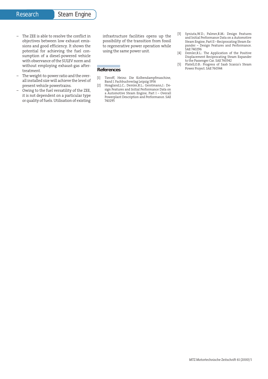- The ZEE is able to resolve the conflict in objectives between low exhaust emissions and good efficiency. It shows the potential for achieving the fuel consumption of a diesel-powered vehicle with observance of the SULEV norm and without employing exhaust-gas aftertreatment.
- The weight-to-power ratio and the overall installed size will achieve the level of present vehicle powertrains.
- Owing to the fuel versatility of the ZEE, it is not dependent on a particular type or quality of fuels. Utilisation of existing

infrastructure facilities opens up the possibility of the transition from fossil to regenerative power operation while using the same power unit.

#### **References**

- [1] Tieroff, Heinz: Die Kolbendampfmaschine, Band I. Fachbuchverlag Leipzig 1956
- [2] Hoagland,L.C.; Demler,R.L.; Gerstmann,J.: Design Features and Initial Performance Data on a Automotive Steam Engine, Part I – Overall Powerplant Description and Performance. SAE 740295
- [3] Syniuta,W.D.; Palmer,R.M.: Design Features and Initial Performance Data on a Automotive Steam Engine, Part II – Reciprocating Steam Expander – Design Features and Performance. SAE 740296
- [4] Demler,R.L.: The Application of the Positive Displacement Reciprocating Steam Expander to the Passenger Car. SAE 760342
- [5] Platell,O.B.: Progress of Saab Scania's Steam Power Project. SAE 760344